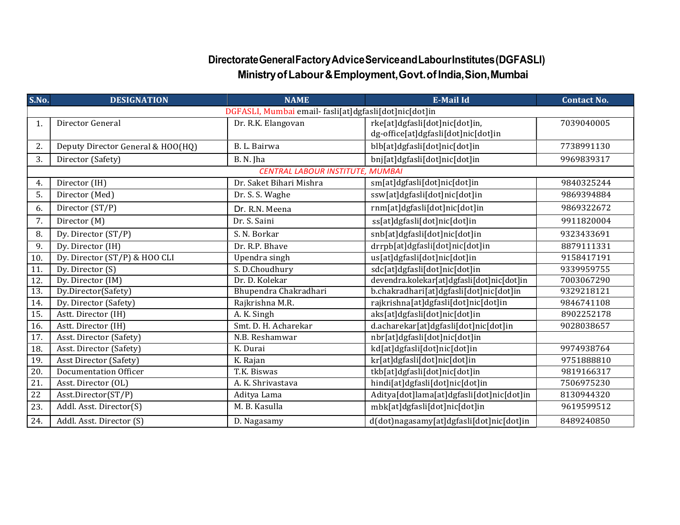## Directorate General Factory Advice Service and Labour Institutes (DGFASLI) Ministry of Labour & Employment, Govt. of India, Sion, Mumbai

| S.No.             | <b>DESIGNATION</b>                | <b>NAME</b>                                            | <b>E-Mail Id</b>                                                      | <b>Contact No.</b> |  |
|-------------------|-----------------------------------|--------------------------------------------------------|-----------------------------------------------------------------------|--------------------|--|
|                   |                                   | DGFASLI, Mumbai email- fasli[at]dgfasli[dot]nic[dot]in |                                                                       |                    |  |
| 1.                | Director General                  | Dr. R.K. Elangovan                                     | rke[at]dgfasli[dot]nic[dot]in,<br>dg-office[at]dgfasli[dot]nic[dot]in | 7039040005         |  |
| 2.                | Deputy Director General & HOO(HQ) | B. L. Bairwa                                           | blb[at]dgfasli[dot]nic[dot]in                                         | 7738991130         |  |
| 3.                | Director (Safety)                 | B. N. Jha                                              | bnj[at]dgfasli[dot]nic[dot]in                                         | 9969839317         |  |
|                   |                                   | CENTRAL LABOUR INSTITUTE, MUMBAI                       |                                                                       |                    |  |
| 4.                | Director (IH)                     | Dr. Saket Bihari Mishra                                | sm[at]dgfasli[dot]nic[dot]in                                          | 9840325244         |  |
| 5.                | Director (Med)                    | Dr. S. S. Waghe                                        | ssw[at]dgfasli[dot]nic[dot]in                                         | 9869394884         |  |
| 6.                | Director (ST/P)                   | Dr. R.N. Meena                                         | rnm[at]dgfasli[dot]nic[dot]in                                         | 9869322672         |  |
| 7.                | Director (M)                      | Dr. S. Saini                                           | ss[at]dgfasli[dot]nic[dot]in                                          | 9911820004         |  |
| 8.                | Dy. Director (ST/P)               | S. N. Borkar                                           | snb[at]dgfasli[dot]nic[dot]in                                         | 9323433691         |  |
| 9.                | Dy. Director (IH)                 | Dr. R.P. Bhave                                         | drrpb[at]dgfasli[dot]nic[dot]in                                       | 8879111331         |  |
| 10.               | Dy. Director (ST/P) & HOO CLI     | Upendra singh                                          | us[at]dgfasli[dot]nic[dot]in                                          | 9158417191         |  |
| 11.               | Dy. Director (S)                  | S. D.Choudhury                                         | sdc[at]dgfasli[dot]nic[dot]in                                         | 9339959755         |  |
| 12.               | Dy. Director (IM)                 | Dr. D. Kolekar                                         | devendra.kolekar[at]dgfasli[dot]nic[dot]in                            | 7003067290         |  |
| 13.               | Dy.Director(Safety)               | Bhupendra Chakradhari                                  | b.chakradhari[at]dgfasli[dot]nic[dot]in                               | 9329218121         |  |
| 14.               | Dy. Director (Safety)             | Rajkrishna M.R.                                        | rajkrishna[at]dgfasli[dot]nic[dot]in                                  | 9846741108         |  |
| 15.               | Astt. Director (IH)               | A. K. Singh                                            | aks[at]dgfasli[dot]nic[dot]in                                         | 8902252178         |  |
| 16.               | Astt. Director (IH)               | Smt. D. H. Acharekar                                   | d.acharekar[at]dgfasli[dot]nic[dot]in                                 | 9028038657         |  |
| $\overline{17}$ . | Asst. Director (Safety)           | N.B. Reshamwar                                         | nbr[at]dgfasli[dot]nic[dot]in                                         |                    |  |
| 18.               | Asst. Director (Safety)           | K. Durai                                               | kd[at]dgfasli[dot]nic[dot]in                                          | 9974938764         |  |
| 19.               | <b>Asst Director (Safety)</b>     | K. Rajan                                               | kr[at]dgfasli[dot]nic[dot]in                                          | 9751888810         |  |
| 20.               | <b>Documentation Officer</b>      | T.K. Biswas                                            | tkb[at]dgfasli[dot]nic[dot]in                                         | 9819166317         |  |
| $\overline{21}$   | Asst. Director (OL)               | A. K. Shrivastava                                      | hindi[at]dgfasli[dot]nic[dot]in                                       | 7506975230         |  |
| $\overline{22}$   | Asst.Director(ST/P)               | Aditya Lama                                            | Aditya[dot]lama[at]dgfasli[dot]nic[dot]in                             | 8130944320         |  |
| 23.               | Addl. Asst. Director(S)           | M. B. Kasulla                                          | mbk[at]dgfasli[dot]nic[dot]in                                         | 9619599512         |  |
| $\overline{24}$ . | Addl. Asst. Director (S)          | D. Nagasamy                                            | d(dot)nagasamy[at]dgfasli[dot]nic[dot]in                              | 8489240850         |  |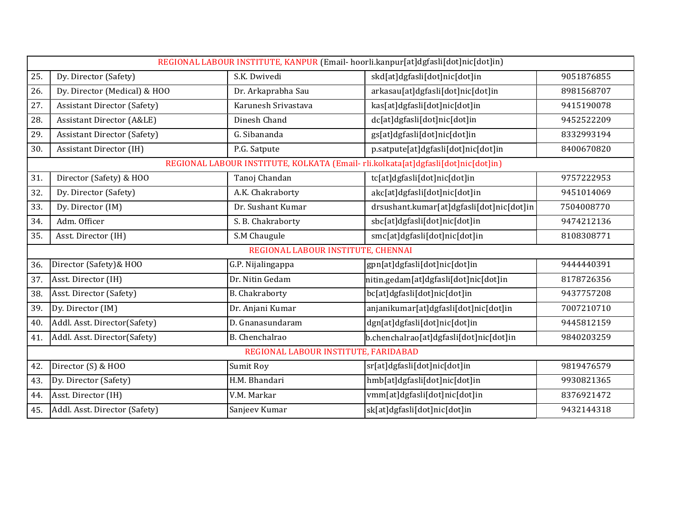|     |                                      |                                      | REGIONAL LABOUR INSTITUTE, KANPUR (Email-hoorli.kanpur[at]dgfasli[dot]nic[dot]in) |            |
|-----|--------------------------------------|--------------------------------------|-----------------------------------------------------------------------------------|------------|
| 25. | Dy. Director (Safety)                | S.K. Dwivedi                         | skd[at]dgfasli[dot]nic[dot]in                                                     | 9051876855 |
| 26. | Dy. Director (Medical) & HOO         | Dr. Arkaprabha Sau                   | arkasau[at]dgfasli[dot]nic[dot]in                                                 | 8981568707 |
| 27. | <b>Assistant Director (Safety)</b>   | Karunesh Srivastava                  | kas[at]dgfasli[dot]nic[dot]in                                                     | 9415190078 |
| 28. | <b>Assistant Director (A&amp;LE)</b> | Dinesh Chand                         | dc[at]dgfasli[dot]nic[dot]in                                                      | 9452522209 |
| 29. | <b>Assistant Director (Safety)</b>   | G. Sibananda                         | gs[at]dgfasli[dot]nic[dot]in                                                      | 8332993194 |
| 30. | <b>Assistant Director (IH)</b>       | P.G. Satpute                         | p.satpute[at]dgfasli[dot]nic[dot]in                                               | 8400670820 |
|     |                                      |                                      | REGIONAL LABOUR INSTITUTE, KOLKATA (Email-rli.kolkata[at]dgfasli[dot]nic[dot]in)  |            |
| 31. | Director (Safety) & HOO              | Tanoj Chandan                        | tc[at]dgfasli[dot]nic[dot]in                                                      | 9757222953 |
| 32. | Dy. Director (Safety)                | A.K. Chakraborty                     | akc[at]dgfasli[dot]nic[dot]in                                                     | 9451014069 |
| 33. | Dy. Director (IM)                    | Dr. Sushant Kumar                    | drsushant.kumar[at]dgfasli[dot]nic[dot]in                                         | 7504008770 |
| 34. | Adm. Officer                         | S. B. Chakraborty                    | sbc[at]dgfasli[dot]nic[dot]in                                                     | 9474212136 |
| 35. | Asst. Director (IH)                  | S.M Chaugule                         | smc[at]dgfasli[dot]nic[dot]in                                                     | 8108308771 |
|     |                                      | REGIONAL LABOUR INSTITUTE, CHENNAI   |                                                                                   |            |
| 36. | Director (Safety) & HOO              | G.P. Nijalingappa                    | gpn[at]dgfasli[dot]nic[dot]in                                                     | 9444440391 |
| 37. | Asst. Director (IH)                  | Dr. Nitin Gedam                      | nitin.gedam[at]dgfasli[dot]nic[dot]in                                             | 8178726356 |
| 38. | Asst. Director (Safety)              | <b>B.</b> Chakraborty                | bc[at]dgfasli[dot]nic[dot]in                                                      | 9437757208 |
| 39. | Dy. Director (IM)                    | Dr. Anjani Kumar                     | anjanikumar[at]dgfasli[dot]nic[dot]in                                             | 7007210710 |
| 40. | Addl. Asst. Director(Safety)         | D. Gnanasundaram                     | dgn[at]dgfasli[dot]nic[dot]in                                                     | 9445812159 |
| 41. | Addl. Asst. Director(Safety)         | B. Chenchalrao                       | b.chenchalrao[at]dgfasli[dot]nic[dot]in                                           | 9840203259 |
|     |                                      | REGIONAL LABOUR INSTITUTE, FARIDABAD |                                                                                   |            |
| 42. | Director (S) & HOO                   | Sumit Roy                            | sr[at]dgfasli[dot]nic[dot]in                                                      | 9819476579 |
| 43. | Dy. Director (Safety)                | H.M. Bhandari                        | hmb[at]dgfasli[dot]nic[dot]in                                                     | 9930821365 |
| 44. | Asst. Director (IH)                  | V.M. Markar                          | vmm[at]dgfasli[dot]nic[dot]in                                                     | 8376921472 |
| 45. | Addl. Asst. Director (Safety)        | Sanjeev Kumar                        | sk[at]dgfasli[dot]nic[dot]in                                                      | 9432144318 |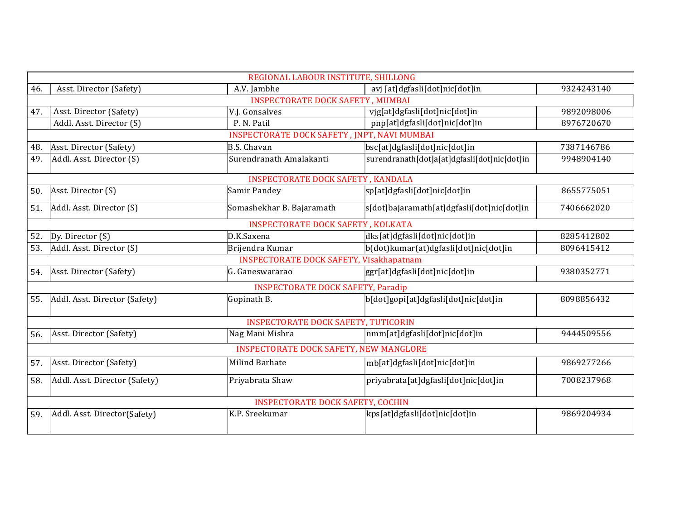|     |                               | REGIONAL LABOUR INSTITUTE, SHILLONG            |                                              |            |
|-----|-------------------------------|------------------------------------------------|----------------------------------------------|------------|
| 46. | Asst. Director (Safety)       | A.V. Jambhe                                    | avj [at]dgfasli[dot]nic[dot]in               | 9324243140 |
|     |                               | <b>INSPECTORATE DOCK SAFETY, MUMBAI</b>        |                                              |            |
| 47. | Asst. Director (Safety)       | V.J. Gonsalves                                 | vjg[at]dgfasli[dot]nic[dot]in                | 9892098006 |
|     | Addl. Asst. Director (S)      | P. N. Patil                                    | pnp[at]dgfasli[dot]nic[dot]in                | 8976720670 |
|     |                               | INSPECTORATE DOCK SAFETY, JNPT, NAVI MUMBAI    |                                              |            |
| 48. | Asst. Director (Safety)       | <b>B.S. Chavan</b>                             | bsc[at]dgfasli[dot]nic[dot]in                | 7387146786 |
| 49. | Addl. Asst. Director (S)      | Surendranath Amalakanti                        | surendranath[dot]a[at]dgfasli[dot]nic[dot]in | 9948904140 |
|     |                               | <b>INSPECTORATE DOCK SAFETY, KANDALA</b>       |                                              |            |
| 50. | Asst. Director (S)            | Samir Pandey                                   | sp[at]dgfasli[dot]nic[dot]in                 | 8655775051 |
| 51. | Addl. Asst. Director (S)      | Somashekhar B. Bajaramath                      | s[dot]bajaramath[at]dgfasli[dot]nic[dot]in   | 7406662020 |
|     |                               | <b>INSPECTORATE DOCK SAFETY, KOLKATA</b>       |                                              |            |
| 52. | Dy. Director $(S)$            | D.K.Saxena                                     | dks[at]dgfasli[dot]nic[dot]in                | 8285412802 |
| 53. | Addl. Asst. Director (S)      | Brijendra Kumar                                | b(dot)kumar(at)dgfasli[dot]nic[dot]in        | 8096415412 |
|     |                               | <b>INSPECTORATE DOCK SAFETY, Visakhapatnam</b> |                                              |            |
| 54. | Asst. Director (Safety)       | G. Ganeswararao                                | ggr[at]dgfasli[dot]nic[dot]in                | 9380352771 |
|     |                               | <b>INSPECTORATE DOCK SAFETY, Paradip</b>       |                                              |            |
| 55. | Addl. Asst. Director (Safety) | Gopinath B.                                    | b[dot]gopi[at]dgfasli[dot]nic[dot]in         | 8098856432 |
|     |                               | <b>INSPECTORATE DOCK SAFETY, TUTICORIN</b>     |                                              |            |
| 56. | Asst. Director (Safety)       | Nag Mani Mishra                                | nmm[at]dgfasli[dot]nic[dot]in                | 9444509556 |
|     |                               | <b>INSPECTORATE DOCK SAFETY, NEW MANGLORE</b>  |                                              |            |
| 57. | Asst. Director (Safety)       | <b>Milind Barhate</b>                          | mb[at]dgfasli[dot]nic[dot]in                 | 9869277266 |
| 58. | Addl. Asst. Director (Safety) | Priyabrata Shaw                                | priyabrata[at]dgfasli[dot]nic[dot]in         | 7008237968 |
|     |                               | <b>INSPECTORATE DOCK SAFETY, COCHIN</b>        |                                              |            |
| 59. | Addl. Asst. Director(Safety)  | K.P. Sreekumar                                 | kps[at]dgfasli[dot]nic[dot]in                | 9869204934 |
|     |                               |                                                |                                              |            |